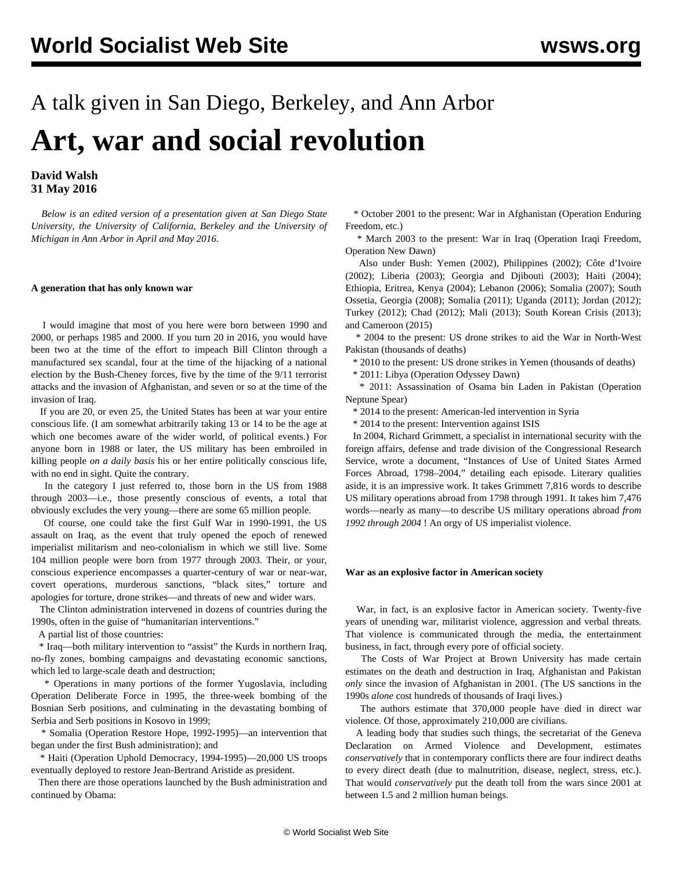# A talk given in San Diego, Berkeley, and Ann Arbor **Art, war and social revolution**

## **David Walsh 31 May 2016**

 *Below is an edited version of a presentation given at San Diego State University, the University of California, Berkeley and the University of Michigan in Ann Arbor in April and May 2016.*

## **A generation that has only known war**

 I would imagine that most of you here were born between 1990 and 2000, or perhaps 1985 and 2000. If you turn 20 in 2016, you would have been two at the time of the effort to impeach Bill Clinton through a manufactured sex scandal, four at the time of the hijacking of a national election by the Bush-Cheney forces, five by the time of the 9/11 terrorist attacks and the invasion of Afghanistan, and seven or so at the time of the invasion of Iraq.

 If you are 20, or even 25, the United States has been at war your entire conscious life. (I am somewhat arbitrarily taking 13 or 14 to be the age at which one becomes aware of the wider world, of political events.) For anyone born in 1988 or later, the US military has been embroiled in killing people *on a daily basis* his or her entire politically conscious life, with no end in sight. Quite the contrary.

 In the category I just referred to, those born in the US from 1988 through 2003—i.e., those presently conscious of events, a total that obviously excludes the very young—there are some 65 million people.

 Of course, one could take the first Gulf War in 1990-1991, the US assault on Iraq, as the event that truly opened the epoch of renewed imperialist militarism and neo-colonialism in which we still live. Some 104 million people were born from 1977 through 2003. Their, or your, conscious experience encompasses a quarter-century of war or near-war, covert operations, murderous sanctions, "black sites," torture and apologies for torture, drone strikes—and threats of new and wider wars.

 The Clinton administration intervened in dozens of countries during the 1990s, often in the guise of "humanitarian interventions."

A partial list of those countries:

 \* Iraq—both military intervention to "assist" the Kurds in northern Iraq, no-fly zones, bombing campaigns and devastating economic sanctions, which led to large-scale death and destruction;

 \* Operations in many portions of the former Yugoslavia, including Operation Deliberate Force in 1995, the three-week bombing of the Bosnian Serb positions, and culminating in the devastating bombing of Serbia and Serb positions in Kosovo in 1999;

 \* Somalia (Operation Restore Hope, 1992-1995)—an intervention that began under the first Bush administration); and

 \* Haiti (Operation Uphold Democracy, 1994-1995)—20,000 US troops eventually deployed to restore Jean-Bertrand Aristide as president.

 Then there are those operations launched by the Bush administration and continued by Obama:

 \* October 2001 to the present: War in Afghanistan (Operation Enduring Freedom, etc.)

 \* March 2003 to the present: War in Iraq (Operation Iraqi Freedom, Operation New Dawn)

 Also under Bush: Yemen (2002), Philippines (2002); Côte d'Ivoire (2002); Liberia (2003); Georgia and Djibouti (2003); Haiti (2004); Ethiopia, Eritrea, Kenya (2004); Lebanon (2006); Somalia (2007); South Ossetia, Georgia (2008); Somalia (2011); Uganda (2011); Jordan (2012); Turkey (2012); Chad (2012); Mali (2013); South Korean Crisis (2013); and Cameroon (2015)

 \* 2004 to the present: US drone strikes to aid the War in North-West Pakistan (thousands of deaths)

\* 2010 to the present: US drone strikes in Yemen (thousands of deaths)

\* 2011: Libya (Operation Odyssey Dawn)

 \* 2011: Assassination of Osama bin Laden in Pakistan (Operation Neptune Spear)

\* 2014 to the present: American-led intervention in Syria

\* 2014 to the present: Intervention against ISIS

 In 2004, Richard Grimmett, a specialist in international security with the foreign affairs, defense and trade division of the Congressional Research Service, wrote a document, "Instances of Use of United States Armed Forces Abroad, 1798–2004," detailing each episode. Literary qualities aside, it is an impressive work. It takes Grimmett 7,816 words to describe US military operations abroad from 1798 through 1991. It takes him 7,476 words—nearly as many—to describe US military operations abroad *from 1992 through 2004* ! An orgy of US imperialist violence.

## **War as an explosive factor in American society**

 War, in fact, is an explosive factor in American society. Twenty-five years of unending war, militarist violence, aggression and verbal threats. That violence is communicated through the media, the entertainment business, in fact, through every pore of official society.

 The Costs of War Project at Brown University has made certain estimates on the death and destruction in Iraq, Afghanistan and Pakistan *only* since the invasion of Afghanistan in 2001. (The US sanctions in the 1990s *alone* cost hundreds of thousands of Iraqi lives.)

 The authors estimate that 370,000 people have died in direct war violence. Of those, approximately 210,000 are civilians.

 A leading body that studies such things, the secretariat of the Geneva Declaration on Armed Violence and Development, estimates *conservatively* that in contemporary conflicts there are four indirect deaths to every direct death (due to malnutrition, disease, neglect, stress, etc.). That would *conservatively* put the death toll from the wars since 2001 at between 1.5 and 2 million human beings.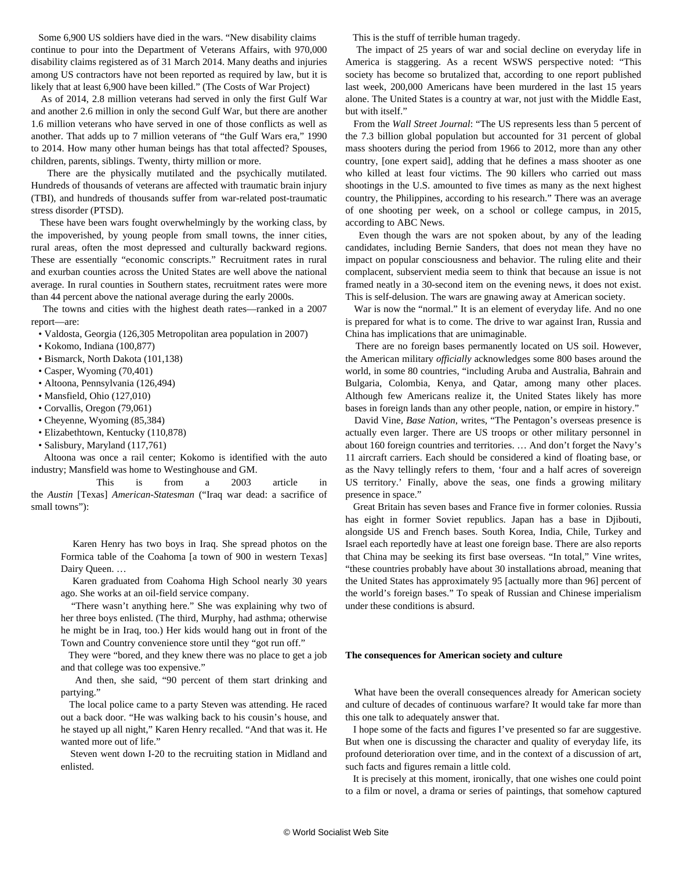Some 6,900 US soldiers have died in the wars. "New disability claims continue to pour into the Department of Veterans Affairs, with 970,000 disability claims registered as of 31 March 2014. Many deaths and injuries among US contractors have not been reported as required by law, but it is likely that at least 6,900 have been killed." (The Costs of War Project)

 As of 2014, 2.8 million veterans had served in only the first Gulf War and another 2.6 million in only the second Gulf War, but there are another 1.6 million veterans who have served in one of those conflicts as well as another. That adds up to 7 million veterans of "the Gulf Wars era," 1990 to 2014. How many other human beings has that total affected? Spouses, children, parents, siblings. Twenty, thirty million or more.

 There are the physically mutilated and the psychically mutilated. Hundreds of thousands of veterans are affected with traumatic brain injury (TBI), and hundreds of thousands suffer from war-related post-traumatic stress disorder (PTSD).

 These have been wars fought overwhelmingly by the working class, by the impoverished, by young people from small towns, the inner cities, rural areas, often the most depressed and culturally backward regions. These are essentially "economic conscripts." Recruitment rates in rural and exurban counties across the United States are well above the national average. In rural counties in Southern states, recruitment rates were more than 44 percent above the national average during the early 2000s.

 The towns and cities with the highest death rates—ranked in a 2007 report—are:

• Valdosta, Georgia (126,305 Metropolitan area population in 2007)

- Kokomo, Indiana (100,877)
- Bismarck, North Dakota (101,138)
- Casper, Wyoming (70,401)
- Altoona, Pennsylvania (126,494)
- Mansfield, Ohio (127,010)
- Corvallis, Oregon (79,061)
- Cheyenne, Wyoming (85,384)
- Elizabethtown, Kentucky (110,878)
- Salisbury, Maryland (117,761)

 Altoona was once a rail center; Kokomo is identified with the auto industry; Mansfield was home to Westinghouse and GM.

 This is from a 2003 article in the *Austin* [Texas] *American-Statesman* ("Iraq war dead: a sacrifice of small towns"):

 Karen Henry has two boys in Iraq. She spread photos on the Formica table of the Coahoma [a town of 900 in western Texas] Dairy Queen. …

 Karen graduated from Coahoma High School nearly 30 years ago. She works at an oil-field service company.

 "There wasn't anything here." She was explaining why two of her three boys enlisted. (The third, Murphy, had asthma; otherwise he might be in Iraq, too.) Her kids would hang out in front of the Town and Country convenience store until they "got run off."

 They were "bored, and they knew there was no place to get a job and that college was too expensive."

 And then, she said, "90 percent of them start drinking and partying."

 The local police came to a party Steven was attending. He raced out a back door. "He was walking back to his cousin's house, and he stayed up all night," Karen Henry recalled. "And that was it. He wanted more out of life."

 Steven went down I-20 to the recruiting station in Midland and enlisted.

This is the stuff of terrible human tragedy.

 The impact of 25 years of war and social decline on everyday life in America is staggering. As a recent WSWS perspective noted: "This society has become so brutalized that, according to one report published last week, 200,000 Americans have been murdered in the last 15 years alone. The United States is a country at war, not just with the Middle East, but with itself."

 From the *Wall Street Journal*: "The US represents less than 5 percent of the 7.3 billion global population but accounted for 31 percent of global mass shooters during the period from 1966 to 2012, more than any other country, [one expert said], adding that he defines a mass shooter as one who killed at least four victims. The 90 killers who carried out mass shootings in the U.S. amounted to five times as many as the next highest country, the Philippines, according to his research." There was an average of one shooting per week, on a school or college campus, in 2015, according to ABC News.

 Even though the wars are not spoken about, by any of the leading candidates, including Bernie Sanders, that does not mean they have no impact on popular consciousness and behavior. The ruling elite and their complacent, subservient media seem to think that because an issue is not framed neatly in a 30-second item on the evening news, it does not exist. This is self-delusion. The wars are gnawing away at American society.

 War is now the "normal." It is an element of everyday life. And no one is prepared for what is to come. The drive to war against Iran, Russia and China has implications that are unimaginable.

 There are no foreign bases permanently located on US soil. However, the American military *officially* acknowledges some 800 bases around the world, in some 80 countries, "including Aruba and Australia, Bahrain and Bulgaria, Colombia, Kenya, and Qatar, among many other places. Although few Americans realize it, the United States likely has more bases in foreign lands than any other people, nation, or empire in history."

 David Vine, *Base Nation*, writes, "The Pentagon's overseas presence is actually even larger. There are US troops or other military personnel in about 160 foreign countries and territories. … And don't forget the Navy's 11 aircraft carriers. Each should be considered a kind of floating base, or as the Navy tellingly refers to them, 'four and a half acres of sovereign US territory.' Finally, above the seas, one finds a growing military presence in space."

 Great Britain has seven bases and France five in former colonies. Russia has eight in former Soviet republics. Japan has a base in Djibouti, alongside US and French bases. South Korea, India, Chile, Turkey and Israel each reportedly have at least one foreign base. There are also reports that China may be seeking its first base overseas. "In total," Vine writes, "these countries probably have about 30 installations abroad, meaning that the United States has approximately 95 [actually more than 96] percent of the world's foreign bases." To speak of Russian and Chinese imperialism under these conditions is absurd.

#### **The consequences for American society and culture**

 What have been the overall consequences already for American society and culture of decades of continuous warfare? It would take far more than this one talk to adequately answer that.

 I hope some of the facts and figures I've presented so far are suggestive. But when one is discussing the character and quality of everyday life, its profound deterioration over time, and in the context of a discussion of art, such facts and figures remain a little cold.

 It is precisely at this moment, ironically, that one wishes one could point to a film or novel, a drama or series of paintings, that somehow captured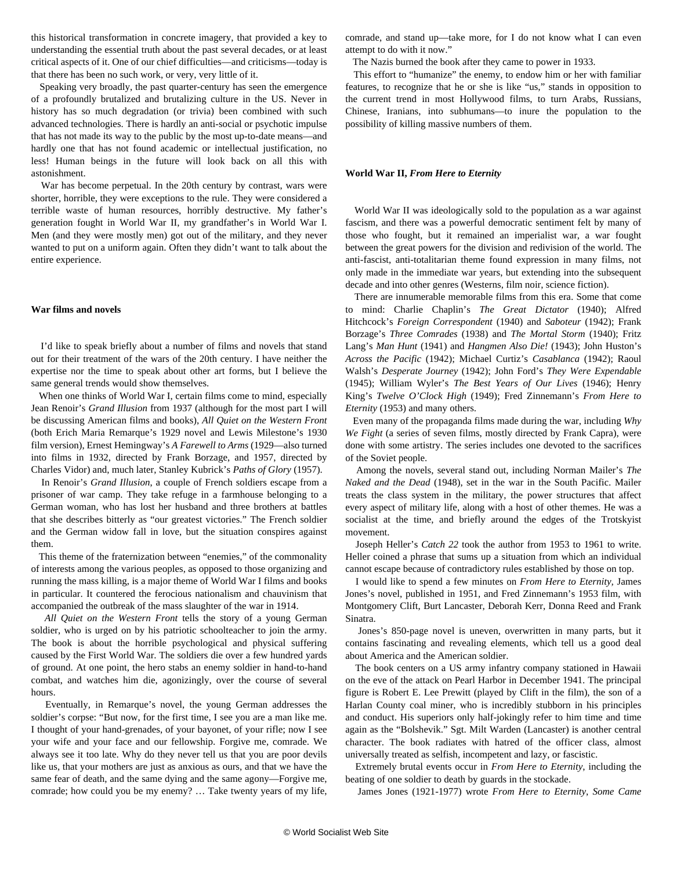this historical transformation in concrete imagery, that provided a key to understanding the essential truth about the past several decades, or at least critical aspects of it. One of our chief difficulties—and criticisms—today is that there has been no such work, or very, very little of it.

 Speaking very broadly, the past quarter-century has seen the emergence of a profoundly brutalized and brutalizing culture in the US. Never in history has so much degradation (or trivia) been combined with such advanced technologies. There is hardly an anti-social or psychotic impulse that has not made its way to the public by the most up-to-date means—and hardly one that has not found academic or intellectual justification, no less! Human beings in the future will look back on all this with astonishment.

 War has become perpetual. In the 20th century by contrast, wars were shorter, horrible, they were exceptions to the rule. They were considered a terrible waste of human resources, horribly destructive. My father's generation fought in World War II, my grandfather's in World War I. Men (and they were mostly men) got out of the military, and they never wanted to put on a uniform again. Often they didn't want to talk about the entire experience.

#### **War films and novels**

 I'd like to speak briefly about a number of films and novels that stand out for their treatment of the wars of the 20th century. I have neither the expertise nor the time to speak about other art forms, but I believe the same general trends would show themselves.

 When one thinks of World War I, certain films come to mind, especially Jean Renoir's *Grand Illusion* from 1937 (although for the most part I will be discussing American films and books), *All Quiet on the Western Front* (both Erich Maria Remarque's 1929 novel and Lewis Milestone's 1930 film version), Ernest Hemingway's *A Farewell to Arms* (1929—also turned into films in 1932, directed by Frank Borzage, and 1957, directed by Charles Vidor) and, much later, Stanley Kubrick's *Paths of Glory* (1957).

 In Renoir's *Grand Illusion*, a couple of French soldiers escape from a prisoner of war camp. They take refuge in a farmhouse belonging to a German woman, who has lost her husband and three brothers at battles that she describes bitterly as "our greatest victories." The French soldier and the German widow fall in love, but the situation conspires against them.

 This theme of the fraternization between "enemies," of the commonality of interests among the various peoples, as opposed to those organizing and running the mass killing, is a major theme of World War I films and books in particular. It countered the ferocious nationalism and chauvinism that accompanied the outbreak of the mass slaughter of the war in 1914.

 *All Quiet on the Western Front* tells the story of a young German soldier, who is urged on by his patriotic schoolteacher to join the army. The book is about the horrible psychological and physical suffering caused by the First World War. The soldiers die over a few hundred yards of ground. At one point, the hero stabs an enemy soldier in hand-to-hand combat, and watches him die, agonizingly, over the course of several hours.

 Eventually, in Remarque's novel, the young German addresses the soldier's corpse: "But now, for the first time, I see you are a man like me. I thought of your hand-grenades, of your bayonet, of your rifle; now I see your wife and your face and our fellowship. Forgive me, comrade. We always see it too late. Why do they never tell us that you are poor devils like us, that your mothers are just as anxious as ours, and that we have the same fear of death, and the same dying and the same agony—Forgive me, comrade; how could you be my enemy? … Take twenty years of my life, comrade, and stand up—take more, for I do not know what I can even attempt to do with it now."

The Nazis burned the book after they came to power in 1933.

 This effort to "humanize" the enemy, to endow him or her with familiar features, to recognize that he or she is like "us," stands in opposition to the current trend in most Hollywood films, to turn Arabs, Russians, Chinese, Iranians, into subhumans—to inure the population to the possibility of killing massive numbers of them.

#### **World War II,** *From Here to Eternity*

 World War II was ideologically sold to the population as a war against fascism, and there was a powerful democratic sentiment felt by many of those who fought, but it remained an imperialist war, a war fought between the great powers for the division and redivision of the world. The anti-fascist, anti-totalitarian theme found expression in many films, not only made in the immediate war years, but extending into the subsequent decade and into other genres (Westerns, film noir, science fiction).

 There are innumerable memorable films from this era. Some that come to mind: Charlie Chaplin's *The Great Dictator* (1940); Alfred Hitchcock's *Foreign Correspondent* (1940) and *Saboteur* (1942); Frank Borzage's *Three Comrades* (1938) and *The Mortal Storm* (1940); Fritz Lang's *Man Hunt* (1941) and *Hangmen Also Die!* (1943); John Huston's *Across the Pacific* (1942); Michael Curtiz's *Casablanca* (1942); Raoul Walsh's *Desperate Journey* (1942); John Ford's *They Were Expendable* (1945); William Wyler's *The Best Years of Our Lives* (1946); Henry King's *Twelve O'Clock High* (1949); Fred Zinnemann's *From Here to Eternity* (1953) and many others.

 Even many of the propaganda films made during the war, including *Why We Fight* (a series of seven films, mostly directed by Frank Capra), were done with some artistry. The series includes one devoted to the sacrifices of the Soviet people.

 Among the novels, several stand out, including Norman Mailer's *The Naked and the Dead* (1948), set in the war in the South Pacific. Mailer treats the class system in the military, the power structures that affect every aspect of military life, along with a host of other themes. He was a socialist at the time, and briefly around the edges of the Trotskyist movement.

 Joseph Heller's *Catch 22* took the author from 1953 to 1961 to write. Heller coined a phrase that sums up a situation from which an individual cannot escape because of contradictory rules established by those on top.

 I would like to spend a few minutes on *From Here to Eternity,* James Jones's novel, published in 1951, and Fred Zinnemann's 1953 film, with Montgomery Clift, Burt Lancaster, Deborah Kerr, Donna Reed and Frank Sinatra.

 Jones's 850-page novel is uneven, overwritten in many parts, but it contains fascinating and revealing elements, which tell us a good deal about America and the American soldier.

 The book centers on a US army infantry company stationed in Hawaii on the eve of the attack on Pearl Harbor in December 1941. The principal figure is Robert E. Lee Prewitt (played by Clift in the film), the son of a Harlan County coal miner, who is incredibly stubborn in his principles and conduct. His superiors only half-jokingly refer to him time and time again as the "Bolshevik." Sgt. Milt Warden (Lancaster) is another central character. The book radiates with hatred of the officer class, almost universally treated as selfish, incompetent and lazy, or fascistic.

 Extremely brutal events occur in *From Here to Eternity*, including the beating of one soldier to death by guards in the stockade.

James Jones (1921-1977) wrote *From Here to Eternity*, *Some Came*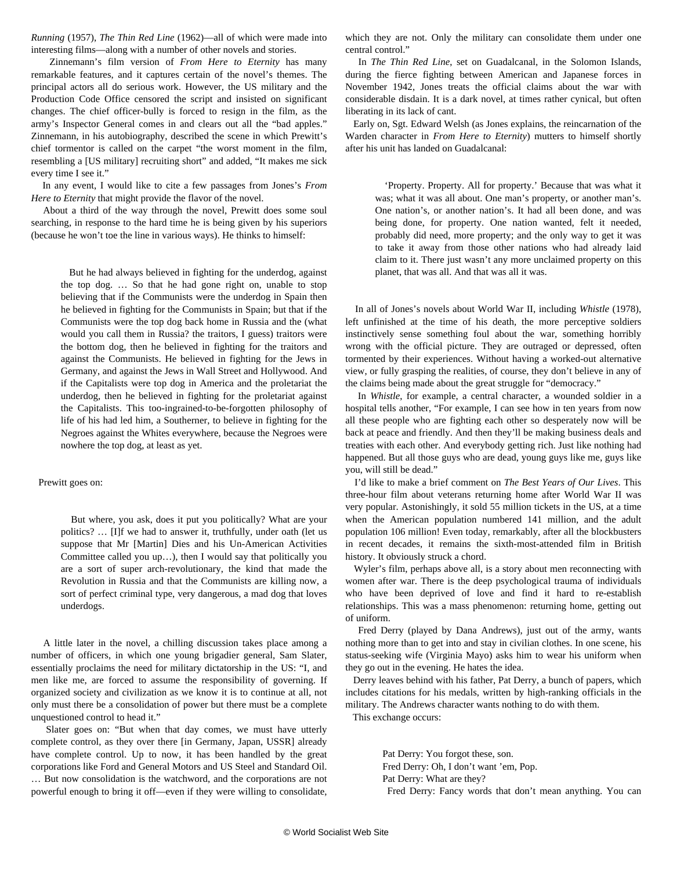*Running* (1957), *The Thin Red Line* (1962)—all of which were made into interesting films—along with a number of other novels and stories.

 Zinnemann's film version of *From Here to Eternity* has many remarkable features, and it captures certain of the novel's themes. The principal actors all do serious work. However, the US military and the Production Code Office censored the script and insisted on significant changes. The chief officer-bully is forced to resign in the film, as the army's Inspector General comes in and clears out all the "bad apples." Zinnemann, in his autobiography, described the scene in which Prewitt's chief tormentor is called on the carpet "the worst moment in the film, resembling a [US military] recruiting short" and added, "It makes me sick every time I see it."

 In any event, I would like to cite a few passages from Jones's *From Here to Eternity* that might provide the flavor of the novel.

 About a third of the way through the novel, Prewitt does some soul searching, in response to the hard time he is being given by his superiors (because he won't toe the line in various ways). He thinks to himself:

 But he had always believed in fighting for the underdog, against the top dog. … So that he had gone right on, unable to stop believing that if the Communists were the underdog in Spain then he believed in fighting for the Communists in Spain; but that if the Communists were the top dog back home in Russia and the (what would you call them in Russia? the traitors, I guess) traitors were the bottom dog, then he believed in fighting for the traitors and against the Communists. He believed in fighting for the Jews in Germany, and against the Jews in Wall Street and Hollywood. And if the Capitalists were top dog in America and the proletariat the underdog, then he believed in fighting for the proletariat against the Capitalists. This too-ingrained-to-be-forgotten philosophy of life of his had led him, a Southerner, to believe in fighting for the Negroes against the Whites everywhere, because the Negroes were nowhere the top dog, at least as yet.

Prewitt goes on:

 But where, you ask, does it put you politically? What are your politics? … [I]f we had to answer it, truthfully, under oath (let us suppose that Mr [Martin] Dies and his Un-American Activities Committee called you up…), then I would say that politically you are a sort of super arch-revolutionary, the kind that made the Revolution in Russia and that the Communists are killing now, a sort of perfect criminal type, very dangerous, a mad dog that loves underdogs.

 A little later in the novel, a chilling discussion takes place among a number of officers, in which one young brigadier general, Sam Slater, essentially proclaims the need for military dictatorship in the US: "I, and men like me, are forced to assume the responsibility of governing. If organized society and civilization as we know it is to continue at all, not only must there be a consolidation of power but there must be a complete unquestioned control to head it."

 Slater goes on: "But when that day comes, we must have utterly complete control, as they over there [in Germany, Japan, USSR] already have complete control. Up to now, it has been handled by the great corporations like Ford and General Motors and US Steel and Standard Oil. … But now consolidation is the watchword, and the corporations are not powerful enough to bring it off—even if they were willing to consolidate, which they are not. Only the military can consolidate them under one central control."

 In *The Thin Red Line*, set on Guadalcanal, in the Solomon Islands, during the fierce fighting between American and Japanese forces in November 1942, Jones treats the official claims about the war with considerable disdain. It is a dark novel, at times rather cynical, but often liberating in its lack of cant.

 Early on, Sgt. Edward Welsh (as Jones explains, the reincarnation of the Warden character in *From Here to Eternity*) mutters to himself shortly after his unit has landed on Guadalcanal:

 'Property. Property. All for property.' Because that was what it was; what it was all about. One man's property, or another man's. One nation's, or another nation's. It had all been done, and was being done, for property. One nation wanted, felt it needed, probably did need, more property; and the only way to get it was to take it away from those other nations who had already laid claim to it. There just wasn't any more unclaimed property on this planet, that was all. And that was all it was.

 In all of Jones's novels about World War II, including *Whistle* (1978), left unfinished at the time of his death, the more perceptive soldiers instinctively sense something foul about the war, something horribly wrong with the official picture. They are outraged or depressed, often tormented by their experiences. Without having a worked-out alternative view, or fully grasping the realities, of course, they don't believe in any of the claims being made about the great struggle for "democracy."

 In *Whistle*, for example, a central character, a wounded soldier in a hospital tells another, "For example, I can see how in ten years from now all these people who are fighting each other so desperately now will be back at peace and friendly. And then they'll be making business deals and treaties with each other. And everybody getting rich. Just like nothing had happened. But all those guys who are dead, young guys like me, guys like you, will still be dead."

 I'd like to make a brief comment on *The Best Years of Our Lives*. This three-hour film about veterans returning home after World War II was very popular. Astonishingly, it sold 55 million tickets in the US, at a time when the American population numbered 141 million, and the adult population 106 million! Even today, remarkably, after all the blockbusters in recent decades, it remains the sixth-most-attended film in British history. It obviously struck a chord.

 Wyler's film, perhaps above all, is a story about men reconnecting with women after war. There is the deep psychological trauma of individuals who have been deprived of love and find it hard to re-establish relationships. This was a mass phenomenon: returning home, getting out of uniform.

 Fred Derry (played by Dana Andrews), just out of the army, wants nothing more than to get into and stay in civilian clothes. In one scene, his status-seeking wife (Virginia Mayo) asks him to wear his uniform when they go out in the evening. He hates the idea.

 Derry leaves behind with his father, Pat Derry, a bunch of papers, which includes citations for his medals, written by high-ranking officials in the military. The Andrews character wants nothing to do with them.

This exchange occurs:

 Pat Derry: You forgot these, son. Fred Derry: Oh, I don't want 'em, Pop. Pat Derry: What are they? Fred Derry: Fancy words that don't mean anything. You can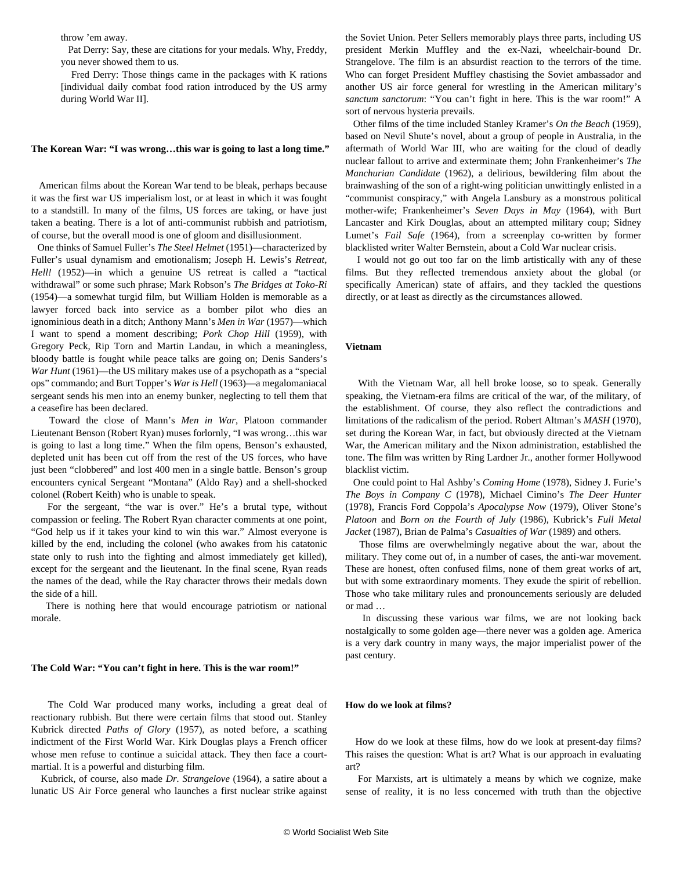throw 'em away.

 Pat Derry: Say, these are citations for your medals. Why, Freddy, you never showed them to us.

 Fred Derry: Those things came in the packages with K rations [individual daily combat food ration introduced by the US army during World War II].

#### **The Korean War: "I was wrong…this war is going to last a long time."**

 American films about the Korean War tend to be bleak, perhaps because it was the first war US imperialism lost, or at least in which it was fought to a standstill. In many of the films, US forces are taking, or have just taken a beating. There is a lot of anti-communist rubbish and patriotism, of course, but the overall mood is one of gloom and disillusionment.

 One thinks of Samuel Fuller's *The Steel Helmet* (1951)—characterized by Fuller's usual dynamism and emotionalism; Joseph H. Lewis's *Retreat, Hell!* (1952)—in which a genuine US retreat is called a "tactical withdrawal" or some such phrase; Mark Robson's *The Bridges at Toko-Ri* (1954)—a somewhat turgid film, but William Holden is memorable as a lawyer forced back into service as a bomber pilot who dies an ignominious death in a ditch; Anthony Mann's *Men in War* (1957)—which I want to spend a moment describing; *Pork Chop Hill* (1959), with Gregory Peck, Rip Torn and Martin Landau, in which a meaningless, bloody battle is fought while peace talks are going on; Denis Sanders's *War Hunt* (1961)—the US military makes use of a psychopath as a "special ops" commando; and Burt Topper's *War is Hell* (1963)—a megalomaniacal sergeant sends his men into an enemy bunker, neglecting to tell them that a ceasefire has been declared.

 Toward the close of Mann's *Men in War*, Platoon commander Lieutenant Benson (Robert Ryan) muses forlornly, "I was wrong…this war is going to last a long time." When the film opens, Benson's exhausted, depleted unit has been cut off from the rest of the US forces, who have just been "clobbered" and lost 400 men in a single battle. Benson's group encounters cynical Sergeant "Montana" (Aldo Ray) and a shell-shocked colonel (Robert Keith) who is unable to speak.

 For the sergeant, "the war is over." He's a brutal type, without compassion or feeling. The Robert Ryan character comments at one point, "God help us if it takes your kind to win this war." Almost everyone is killed by the end, including the colonel (who awakes from his catatonic state only to rush into the fighting and almost immediately get killed), except for the sergeant and the lieutenant. In the final scene, Ryan reads the names of the dead, while the Ray character throws their medals down the side of a hill.

 There is nothing here that would encourage patriotism or national morale.

#### **The Cold War: "You can't fight in here. This is the war room!"**

 The Cold War produced many works, including a great deal of reactionary rubbish. But there were certain films that stood out. Stanley Kubrick directed *Paths of Glory* (1957), as noted before, a scathing indictment of the First World War. Kirk Douglas plays a French officer whose men refuse to continue a suicidal attack. They then face a courtmartial. It is a powerful and disturbing film.

 Kubrick, of course, also made *Dr. Strangelove* (1964), a satire about a lunatic US Air Force general who launches a first nuclear strike against the Soviet Union. Peter Sellers memorably plays three parts, including US president Merkin Muffley and the ex-Nazi, wheelchair-bound Dr. Strangelove. The film is an absurdist reaction to the terrors of the time. Who can forget President Muffley chastising the Soviet ambassador and another US air force general for wrestling in the American military's *sanctum sanctorum*: "You can't fight in here. This is the war room!" A sort of nervous hysteria prevails.

 Other films of the time included Stanley Kramer's *On the Beach* (1959), based on Nevil Shute's novel, about a group of people in Australia, in the aftermath of World War III, who are waiting for the cloud of deadly nuclear fallout to arrive and exterminate them; John Frankenheimer's *The Manchurian Candidate* (1962), a delirious, bewildering film about the brainwashing of the son of a right-wing politician unwittingly enlisted in a "communist conspiracy," with Angela Lansbury as a monstrous political mother-wife; Frankenheimer's *Seven Days in May* (1964), with Burt Lancaster and Kirk Douglas, about an attempted military coup; Sidney Lumet's *Fail Safe* (1964)*,* from a screenplay co-written by former blacklisted writer Walter Bernstein, about a Cold War nuclear crisis.

 I would not go out too far on the limb artistically with any of these films. But they reflected tremendous anxiety about the global (or specifically American) state of affairs, and they tackled the questions directly, or at least as directly as the circumstances allowed.

#### **Vietnam**

 With the Vietnam War, all hell broke loose, so to speak. Generally speaking, the Vietnam-era films are critical of the war, of the military, of the establishment. Of course, they also reflect the contradictions and limitations of the radicalism of the period. Robert Altman's *MASH* (1970), set during the Korean War, in fact, but obviously directed at the Vietnam War, the American military and the Nixon administration, established the tone. The film was written by Ring Lardner Jr., another former Hollywood blacklist victim.

 One could point to Hal Ashby's *Coming Home* (1978), Sidney J. Furie's *The Boys in Company C* (1978), Michael Cimino's *The Deer Hunter* (1978), Francis Ford Coppola's *Apocalypse Now* (1979), Oliver Stone's *Platoon* and *Born on the Fourth of July* (1986), Kubrick's *Full Metal Jacket* (1987), Brian de Palma's *Casualties of War* (1989) and others.

 Those films are overwhelmingly negative about the war, about the military. They come out of, in a number of cases, the anti-war movement. These are honest, often confused films, none of them great works of art, but with some extraordinary moments. They exude the spirit of rebellion. Those who take military rules and pronouncements seriously are deluded or mad …

 In discussing these various war films, we are not looking back nostalgically to some golden age—there never was a golden age. America is a very dark country in many ways, the major imperialist power of the past century.

#### **How do we look at films?**

 How do we look at these films, how do we look at present-day films? This raises the question: What is art? What is our approach in evaluating art?

 For Marxists, art is ultimately a means by which we cognize, make sense of reality, it is no less concerned with truth than the objective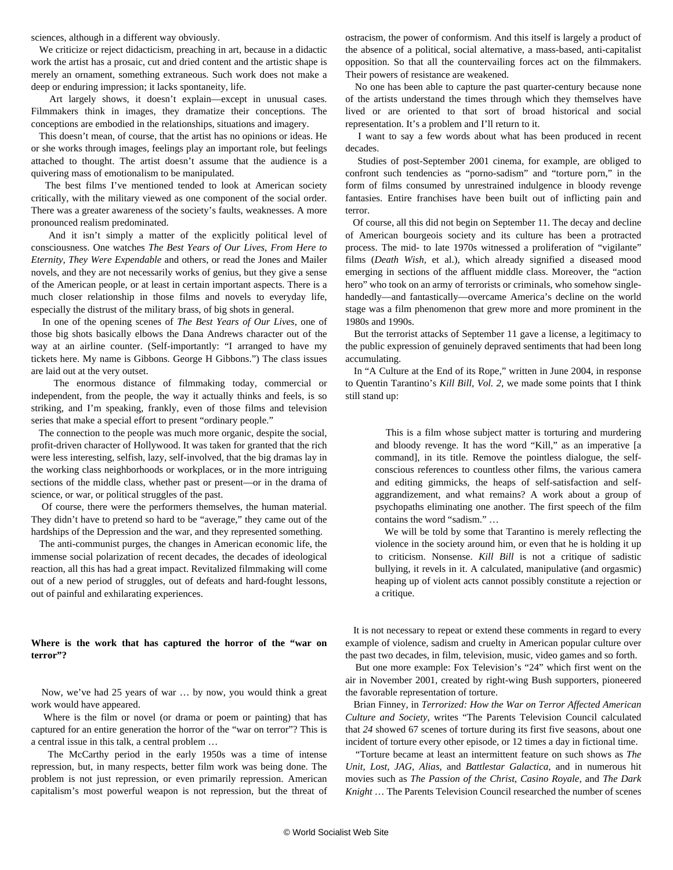sciences, although in a different way obviously.

 We criticize or reject didacticism, preaching in art, because in a didactic work the artist has a prosaic, cut and dried content and the artistic shape is merely an ornament, something extraneous. Such work does not make a deep or enduring impression; it lacks spontaneity, life.

 Art largely shows, it doesn't explain—except in unusual cases. Filmmakers think in images, they dramatize their conceptions. The conceptions are embodied in the relationships, situations and imagery.

 This doesn't mean, of course, that the artist has no opinions or ideas. He or she works through images, feelings play an important role, but feelings attached to thought. The artist doesn't assume that the audience is a quivering mass of emotionalism to be manipulated.

 The best films I've mentioned tended to look at American society critically, with the military viewed as one component of the social order. There was a greater awareness of the society's faults, weaknesses. A more pronounced realism predominated.

 And it isn't simply a matter of the explicitly political level of consciousness. One watches *The Best Years of Our Lives, From Here to Eternity, They Were Expendable* and others, or read the Jones and Mailer novels, and they are not necessarily works of genius, but they give a sense of the American people, or at least in certain important aspects. There is a much closer relationship in those films and novels to everyday life, especially the distrust of the military brass, of big shots in general.

 In one of the opening scenes of *The Best Years of Our Lives*, one of those big shots basically elbows the Dana Andrews character out of the way at an airline counter. (Self-importantly: "I arranged to have my tickets here. My name is Gibbons. George H Gibbons.") The class issues are laid out at the very outset.

 The enormous distance of filmmaking today, commercial or independent, from the people, the way it actually thinks and feels, is so striking, and I'm speaking, frankly, even of those films and television series that make a special effort to present "ordinary people."

 The connection to the people was much more organic, despite the social, profit-driven character of Hollywood. It was taken for granted that the rich were less interesting, selfish, lazy, self-involved, that the big dramas lay in the working class neighborhoods or workplaces, or in the more intriguing sections of the middle class, whether past or present—or in the drama of science, or war, or political struggles of the past.

 Of course, there were the performers themselves, the human material. They didn't have to pretend so hard to be "average," they came out of the hardships of the Depression and the war, and they represented something.

 The anti-communist purges, the changes in American economic life, the immense social polarization of recent decades, the decades of ideological reaction, all this has had a great impact. Revitalized filmmaking will come out of a new period of struggles, out of defeats and hard-fought lessons, out of painful and exhilarating experiences.

### **Where is the work that has captured the horror of the "war on terror"?**

 Now, we've had 25 years of war … by now, you would think a great work would have appeared.

 Where is the film or novel (or drama or poem or painting) that has captured for an entire generation the horror of the "war on terror"? This is a central issue in this talk, a central problem …

 The McCarthy period in the early 1950s was a time of intense repression, but, in many respects, better film work was being done. The problem is not just repression, or even primarily repression. American capitalism's most powerful weapon is not repression, but the threat of ostracism, the power of conformism. And this itself is largely a product of the absence of a political, social alternative, a mass-based, anti-capitalist opposition. So that all the countervailing forces act on the filmmakers. Their powers of resistance are weakened.

 No one has been able to capture the past quarter-century because none of the artists understand the times through which they themselves have lived or are oriented to that sort of broad historical and social representation. It's a problem and I'll return to it.

 I want to say a few words about what has been produced in recent decades.

 Studies of post-September 2001 cinema, for example, are obliged to confront such tendencies as "porno-sadism" and "torture porn," in the form of films consumed by unrestrained indulgence in bloody revenge fantasies. Entire franchises have been built out of inflicting pain and terror.

 Of course, all this did not begin on September 11. The decay and decline of American bourgeois society and its culture has been a protracted process. The mid- to late 1970s witnessed a proliferation of "vigilante" films (*Death Wish,* et al.), which already signified a diseased mood emerging in sections of the affluent middle class. Moreover, the "action hero" who took on an army of terrorists or criminals, who somehow singlehandedly—and fantastically—overcame America's decline on the world stage was a film phenomenon that grew more and more prominent in the 1980s and 1990s.

 But the terrorist attacks of September 11 gave a license, a legitimacy to the public expression of genuinely depraved sentiments that had been long accumulating.

 In "A Culture at the End of its Rope," written in June 2004, in response to Quentin Tarantino's *Kill Bill, Vol. 2*, we made some points that I think still stand up:

 This is a film whose subject matter is torturing and murdering and bloody revenge. It has the word "Kill," as an imperative [a command], in its title. Remove the pointless dialogue, the selfconscious references to countless other films, the various camera and editing gimmicks, the heaps of self-satisfaction and selfaggrandizement, and what remains? A work about a group of psychopaths eliminating one another. The first speech of the film contains the word "sadism." …

 We will be told by some that Tarantino is merely reflecting the violence in the society around him, or even that he is holding it up to criticism. Nonsense. *Kill Bill* is not a critique of sadistic bullying, it revels in it. A calculated, manipulative (and orgasmic) heaping up of violent acts cannot possibly constitute a rejection or a critique.

 It is not necessary to repeat or extend these comments in regard to every example of violence, sadism and cruelty in American popular culture over the past two decades, in film, television, music, video games and so forth.

 But one more example: Fox Television's "24" which first went on the air in November 2001, created by right-wing Bush supporters, pioneered the favorable representation of torture.

 Brian Finney, in *Terrorized: How the War on Terror Affected American Culture and Society*, writes "The Parents Television Council calculated that *24* showed 67 scenes of torture during its first five seasons, about one incident of torture every other episode, or 12 times a day in fictional time.

 "Torture became at least an intermittent feature on such shows as *The Unit*, *Lost, JAG*, *Alias*, and *Battlestar Galactica*, and in numerous hit movies such as *The Passion of the Christ*, *Casino Royale*, and *The Dark Knight* … The Parents Television Council researched the number of scenes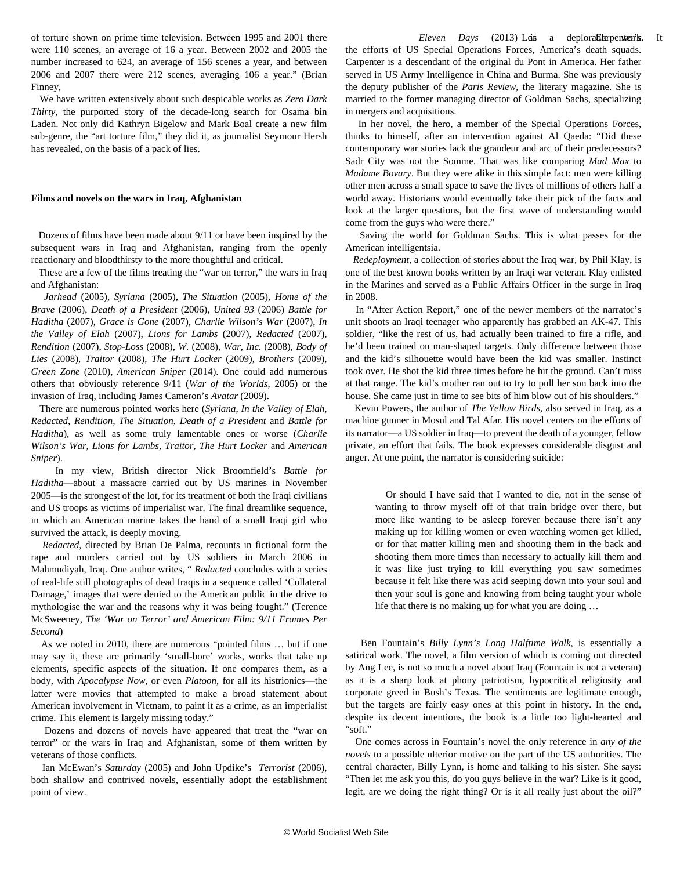of torture shown on prime time television. Between 1995 and 2001 there were 110 scenes, an average of 16 a year. Between 2002 and 2005 the number increased to 624, an average of 156 scenes a year, and between 2006 and 2007 there were 212 scenes, averaging 106 a year." (Brian Finney,

 We have written extensively about such despicable works as *Zero Dark Thirty*, the purported story of the decade-long search for Osama bin Laden. Not only did Kathryn Bigelow and Mark Boal create a new film sub-genre, the "art torture film," they did it, as journalist Seymour Hersh has revealed, on the basis of a pack of lies.

#### **Films and novels on the wars in Iraq, Afghanistan**

 Dozens of films have been made about 9/11 or have been inspired by the subsequent wars in Iraq and Afghanistan, ranging from the openly reactionary and bloodthirsty to the more thoughtful and critical.

 These are a few of the films treating the "war on terror," the wars in Iraq and Afghanistan:

 *Jarhead* (2005), *Syriana* (2005), *The Situation* (2005), *Home of the Brave* (2006), *Death of a President* (2006), *United 93* (2006) *Battle for Haditha* (2007), *Grace is Gone* (2007), *Charlie Wilson's War* (2007), *In the Valley of Elah* (2007), *Lions for Lambs* (2007), *Redacted* (2007), *Rendition* (2007), *Stop-Loss* (2008), *W.* (2008), *War, Inc.* (2008), *Body of Lies* (2008), *Traitor* (2008), *The Hurt Locker* (2009), *Brothers* (2009), *Green Zone* (2010), *American Sniper* (2014). One could add numerous others that obviously reference 9/11 (*War of the Worlds*, 2005) or the invasion of Iraq, including James Cameron's *Avatar* (2009).

 There are numerous pointed works here (*Syriana*, *In the Valley of Elah, Redacted, Rendition, The Situation*, *Death of a President* and *Battle for Haditha*), as well as some truly lamentable ones or worse (*Charlie Wilson's War, Lions for Lambs, Traitor, The Hurt Locker* and *American Sniper*).

 In my view, British director Nick Broomfield's *Battle for Haditha*—about a massacre carried out by US marines in November 2005—is the strongest of the lot, for its treatment of both the Iraqi civilians and US troops as victims of imperialist war. The final dreamlike sequence, in which an American marine takes the hand of a small Iraqi girl who survived the attack, is deeply moving.

 *Redacted*, directed by Brian De Palma, recounts in fictional form the rape and murders carried out by US soldiers in March 2006 in Mahmudiyah, Iraq. One author writes, " *Redacted* concludes with a series of real-life still photographs of dead Iraqis in a sequence called 'Collateral Damage,' images that were denied to the American public in the drive to mythologise the war and the reasons why it was being fought." (Terence McSweeney, *The 'War on Terror' and American Film: 9/11 Frames Per Second*)

 As we [noted](/en/articles/2010/03/nyca-m18.html) in 2010, there are numerous "pointed films … but if one may say it, these are primarily 'small-bore' works, works that take up elements, specific aspects of the situation. If one compares them, as a body, with *Apocalypse Now*, or even *Platoon*, for all its histrionics—the latter were movies that attempted to make a broad statement about American involvement in Vietnam, to paint it as a crime, as an imperialist crime. This element is largely missing today."

 Dozens and dozens of novels have appeared that treat the "war on terror" or the wars in Iraq and Afghanistan, some of them written by veterans of those conflicts.

 Ian McEwan's *Saturday* (2005) and John Updike's *[Terrorist](/en/articles/2006/08/updi-a25.html)* (2006), both shallow and contrived novels, essentially adopt the establishment point of view.

Eleven Days (2013) Leis a deplora**Glerpenten's**. It the efforts of US Special Operations Forces, America's death squads. Carpenter is a descendant of the original du Pont in America. Her father served in US Army Intelligence in China and Burma. She was previously the deputy publisher of the *Paris Review*, the literary magazine. She is married to the former managing director of Goldman Sachs, specializing in mergers and acquisitions.

 In her novel, the hero, a member of the Special Operations Forces, thinks to himself, after an intervention against Al Qaeda: "Did these contemporary war stories lack the grandeur and arc of their predecessors? Sadr City was not the Somme. That was like comparing *Mad Max* to *Madame Bovary*. But they were alike in this simple fact: men were killing other men across a small space to save the lives of millions of others half a world away. Historians would eventually take their pick of the facts and look at the larger questions, but the first wave of understanding would come from the guys who were there."

 Saving the world for Goldman Sachs. This is what passes for the American intelligentsia.

 *Redeployment*, a collection of stories about the Iraq war, by Phil Klay, is one of the best known books written by an Iraqi war veteran. Klay enlisted in the Marines and served as a Public Affairs Officer in the surge in Iraq in 2008.

 In "After Action Report," one of the newer members of the narrator's unit shoots an Iraqi teenager who apparently has grabbed an AK-47. This soldier, "like the rest of us, had actually been trained to fire a rifle, and he'd been trained on man-shaped targets. Only difference between those and the kid's silhouette would have been the kid was smaller. Instinct took over. He shot the kid three times before he hit the ground. Can't miss at that range. The kid's mother ran out to try to pull her son back into the house. She came just in time to see bits of him blow out of his shoulders."

 Kevin Powers, the author of *The Yellow Birds*, also served in Iraq, as a machine gunner in Mosul and Tal Afar. His novel centers on the efforts of its narrator—a US soldier in Iraq—to prevent the death of a younger, fellow private, an effort that fails. The book expresses considerable disgust and anger. At one point, the narrator is considering suicide:

 Or should I have said that I wanted to die, not in the sense of wanting to throw myself off of that train bridge over there, but more like wanting to be asleep forever because there isn't any making up for killing women or even watching women get killed, or for that matter killing men and shooting them in the back and shooting them more times than necessary to actually kill them and it was like just trying to kill everything you saw sometimes because it felt like there was acid seeping down into your soul and then your soul is gone and knowing from being taught your whole life that there is no making up for what you are doing …

 Ben Fountain's *Billy Lynn's Long Halftime Walk*, is essentially a satirical work. The novel, a film version of which is coming out directed by Ang Lee, is not so much a novel about Iraq (Fountain is not a veteran) as it is a sharp look at phony patriotism, hypocritical religiosity and corporate greed in Bush's Texas. The sentiments are legitimate enough, but the targets are fairly easy ones at this point in history. In the end, despite its decent intentions, the book is a little too light-hearted and "soft."

 One comes across in Fountain's novel the only reference in *any of the novels* to a possible ulterior motive on the part of the US authorities. The central character, Billy Lynn, is home and talking to his sister. She says: "Then let me ask you this, do you guys believe in the war? Like is it good, legit, are we doing the right thing? Or is it all really just about the oil?"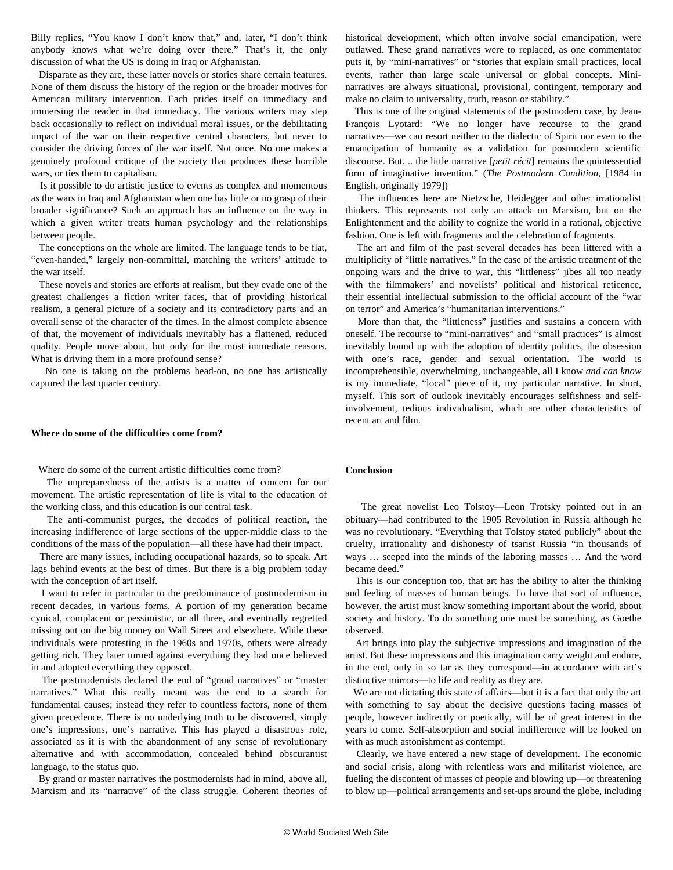Billy replies, "You know I don't know that," and, later, "I don't think anybody knows what we're doing over there." That's it, the only discussion of what the US is doing in Iraq or Afghanistan.

 Disparate as they are, these latter novels or stories share certain features. None of them discuss the history of the region or the broader motives for American military intervention. Each prides itself on immediacy and immersing the reader in that immediacy. The various writers may step back occasionally to reflect on individual moral issues, or the debilitating impact of the war on their respective central characters, but never to consider the driving forces of the war itself. Not once. No one makes a genuinely profound critique of the society that produces these horrible wars, or ties them to capitalism.

 Is it possible to do artistic justice to events as complex and momentous as the wars in Iraq and Afghanistan when one has little or no grasp of their broader significance? Such an approach has an influence on the way in which a given writer treats human psychology and the relationships between people.

 The conceptions on the whole are limited. The language tends to be flat, "even-handed," largely non-committal, matching the writers' attitude to the war itself.

 These novels and stories are efforts at realism, but they evade one of the greatest challenges a fiction writer faces, that of providing historical realism, a general picture of a society and its contradictory parts and an overall sense of the character of the times. In the almost complete absence of that, the movement of individuals inevitably has a flattened, reduced quality. People move about, but only for the most immediate reasons. What is driving them in a more profound sense?

 No one is taking on the problems head-on, no one has artistically captured the last quarter century.

#### **Where do some of the difficulties come from?**

Where do some of the current artistic difficulties come from?

 The unpreparedness of the artists is a matter of concern for our movement. The artistic representation of life is vital to the education of the working class, and this education is our central task.

 The anti-communist purges, the decades of political reaction, the increasing indifference of large sections of the upper-middle class to the conditions of the mass of the population—all these have had their impact.

 There are many issues, including occupational hazards, so to speak. Art lags behind events at the best of times. But there is a big problem today with the conception of art itself.

 I want to refer in particular to the predominance of postmodernism in recent decades, in various forms. A portion of my generation became cynical, complacent or pessimistic, or all three, and eventually regretted missing out on the big money on Wall Street and elsewhere. While these individuals were protesting in the 1960s and 1970s, others were already getting rich. They later turned against everything they had once believed in and adopted everything they opposed.

 The postmodernists declared the end of "grand narratives" or "master narratives." What this really meant was the end to a search for fundamental causes; instead they refer to countless factors, none of them given precedence. There is no underlying truth to be discovered, simply one's impressions, one's narrative. This has played a disastrous role, associated as it is with the abandonment of any sense of revolutionary alternative and with accommodation, concealed behind obscurantist language, to the status quo.

 By grand or master narratives the postmodernists had in mind, above all, Marxism and its "narrative" of the class struggle. Coherent theories of historical development, which often involve social emancipation, were outlawed. These grand narratives were to replaced, as one commentator puts it, by "mini-narratives" or "stories that explain small practices, local events, rather than large scale universal or global concepts. Mininarratives are always situational, provisional, contingent, temporary and make no claim to universality, truth, reason or stability."

 This is one of the original statements of the postmodern case, by Jean-François Lyotard: "We no longer have recourse to the grand narratives—we can resort neither to the dialectic of Spirit nor even to the emancipation of humanity as a validation for postmodern scientific discourse. But. .. the little narrative [*petit récit*] remains the quintessential form of imaginative invention." (*The Postmodern Condition*, [1984 in English, originally 1979])

 The influences here are Nietzsche, Heidegger and other irrationalist thinkers. This represents not only an attack on Marxism, but on the Enlightenment and the ability to cognize the world in a rational, objective fashion. One is left with fragments and the celebration of fragments.

 The art and film of the past several decades has been littered with a multiplicity of "little narratives." In the case of the artistic treatment of the ongoing wars and the drive to war, this "littleness" jibes all too neatly with the filmmakers' and novelists' political and historical reticence, their essential intellectual submission to the official account of the "war on terror" and America's "humanitarian interventions."

 More than that, the "littleness" justifies and sustains a concern with oneself. The recourse to "mini-narratives" and "small practices" is almost inevitably bound up with the adoption of identity politics, the obsession with one's race, gender and sexual orientation. The world is incomprehensible, overwhelming, unchangeable, all I know *and can know* is my immediate, "local" piece of it, my particular narrative. In short, myself. This sort of outlook inevitably encourages selfishness and selfinvolvement, tedious individualism, which are other characteristics of recent art and film.

#### **Conclusion**

 The great novelist Leo Tolstoy—Leon Trotsky pointed out in an obituary—had contributed to the 1905 Revolution in Russia although he was no revolutionary. "Everything that Tolstoy stated publicly" about the cruelty, irrationality and dishonesty of tsarist Russia "in thousands of ways … seeped into the minds of the laboring masses … And the word became deed."

 This is our conception too, that art has the ability to alter the thinking and feeling of masses of human beings. To have that sort of influence, however, the artist must know something important about the world, about society and history. To do something one must be something, as Goethe observed.

 Art brings into play the subjective impressions and imagination of the artist. But these impressions and this imagination carry weight and endure, in the end, only in so far as they correspond—in accordance with art's distinctive mirrors—to life and reality as they are.

 We are not dictating this state of affairs—but it is a fact that only the art with something to say about the decisive questions facing masses of people, however indirectly or poetically, will be of great interest in the years to come. Self-absorption and social indifference will be looked on with as much astonishment as contempt.

 Clearly, we have entered a new stage of development. The economic and social crisis, along with relentless wars and militarist violence, are fueling the discontent of masses of people and blowing up—or threatening to blow up—political arrangements and set-ups around the globe, including